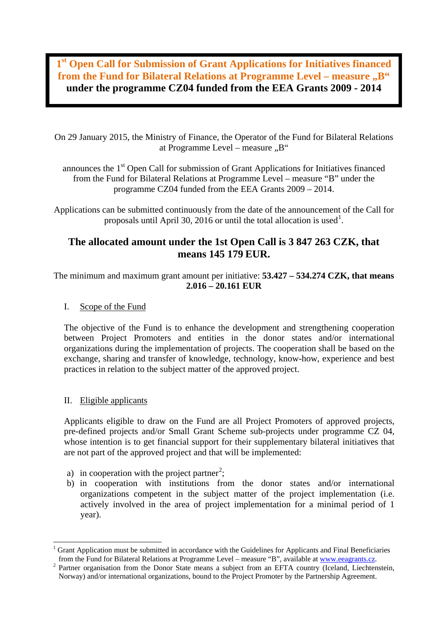**1st Open Call for Submission of Grant Applications for Initiatives financed from the Fund for Bilateral Relations at Programme Level – measure .. B" under the programme CZ04 funded from the EEA Grants 2009 - 2014**

On 29 January 2015, the Ministry of Finance, the Operator of the Fund for Bilateral Relations at Programme Level – measure  $,B^{\prime\prime}$ 

announces the  $1<sup>st</sup>$  Open Call for submission of Grant Applications for Initiatives financed from the Fund for Bilateral Relations at Programme Level – measure "B" under the programme CZ04 funded from the EEA Grants 2009 – 2014.

Applications can be submitted continuously from the date of the announcement of the Call for proposals until April 30, 2016 or until the total allocation is used<sup>1</sup>.

# **The allocated amount under the 1st Open Call is 3 847 263 CZK, that means 145 179 EUR.**

The minimum and maximum grant amount per initiative: **53.427 – 534.274 CZK, that means 2.016 – 20.161 EUR** 

# I. Scope of the Fund

The objective of the Fund is to enhance the development and strengthening cooperation between Project Promoters and entities in the donor states and/or international organizations during the implementation of projects. The cooperation shall be based on the exchange, sharing and transfer of knowledge, technology, know-how, experience and best practices in relation to the subject matter of the approved project.

# II. Eligible applicants

-

Applicants eligible to draw on the Fund are all Project Promoters of approved projects, pre-defined projects and/or Small Grant Scheme sub-projects under programme CZ 04, whose intention is to get financial support for their supplementary bilateral initiatives that are not part of the approved project and that will be implemented:

- a) in cooperation with the project partner<sup>2</sup>;
- b) in cooperation with institutions from the donor states and/or international organizations competent in the subject matter of the project implementation (i.e. actively involved in the area of pro[je](#page-0-0)ct implementation for a minimal period of 1 year).

<sup>1</sup> Grant Application must be submitted in accordance with the Guidelines for Applicants and Final Beneficiaries from the Fund for Bilateral Relations at Programme Level – measure "B", available at www.eeagrants.cz.

<span id="page-0-0"></span> $2$  Partner organisation from the Donor State means a subject from an EFTA country (Iceland, Liechtenstein, Norway) and/or international organizations, bound to the Project Promoter by the Partnership Agreement.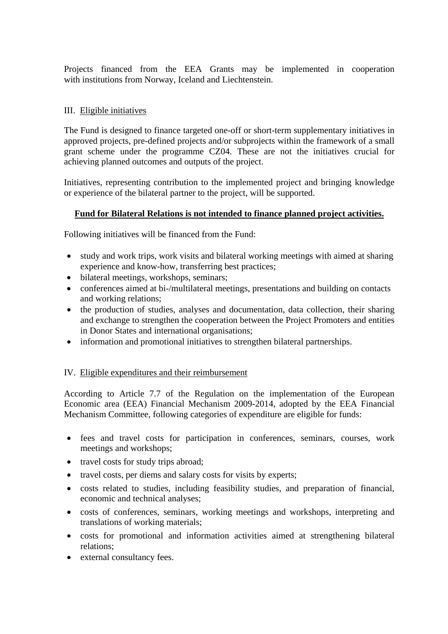Projects financed from the EEA Grants may be implemented in cooperation with institutions from Norway, Iceland and Liechtenstein.

## III. Eligible initiatives

The Fund is designed to finance targeted one-off or short-term supplementary initiatives in approved projects, pre-defined projects and/or subprojects within the framework of a small grant scheme under the programme CZ04. These are not the initiatives crucial for achieving planned outcomes and outputs of the project.

Initiatives, representing contribution to the implemented project and bringing knowledge or experience of the bilateral partner to the project, will be supported.

## **Fund for Bilateral Relations is not intended to finance planned project activities.**

Following initiatives will be financed from the Fund:

- study and work trips, work visits and bilateral working meetings with aimed at sharing experience and know-how, transferring best practices;
- bilateral meetings, workshops, seminars;
- conferences aimed at bi-/multilateral meetings, presentations and building on contacts and working relations;
- the production of studies, analyses and documentation, data collection, their sharing and exchange to strengthen the cooperation between the Project Promoters and entities in Donor States and international organisations;
- information and promotional initiatives to strengthen bilateral partnerships.

#### IV. Eligible expenditures and their reimbursement

According to Article 7.7 of the Regulation on the implementation of the European Economic area (EEA) Financial Mechanism 2009-2014, adopted by the EEA Financial Mechanism Committee, following categories of expenditure are eligible for funds:

- fees and travel costs for participation in conferences, seminars, courses, work meetings and workshops;
- travel costs for study trips abroad;
- travel costs, per diems and salary costs for visits by experts;
- costs related to studies, including feasibility studies, and preparation of financial, economic and technical analyses;
- costs of conferences, seminars, working meetings and workshops, interpreting and translations of working materials;
- costs for promotional and information activities aimed at strengthening bilateral relations;
- external consultancy fees.